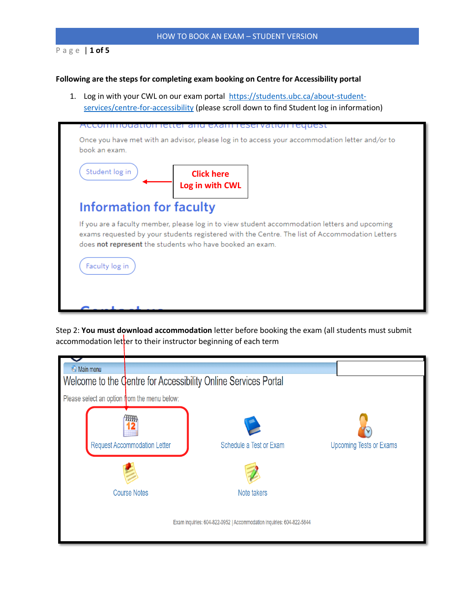### P a g e | **1 of 5**

#### **Following are the steps for completing exam booking on Centre for Accessibility portal**

1. Log in with your CWL on our exam portal [https://students.ubc.ca/about-student](https://students.ubc.ca/about-student-services/centre-for-accessibility)[services/centre-for-accessibility](https://students.ubc.ca/about-student-services/centre-for-accessibility) (please scroll down to find Student log in information)



Step 2: **You must download accommodation** letter before booking the exam (all students must submit accommodation letter to their instructor beginning of each term

| <b>Main menu</b>                                                     |                                     | Welcome to the Centre for Accessibility Online Services Portal |                                |  |  |
|----------------------------------------------------------------------|-------------------------------------|----------------------------------------------------------------|--------------------------------|--|--|
| Please select an option from the menu below:                         |                                     |                                                                |                                |  |  |
|                                                                      | <b>Request Accommodation Letter</b> | Schedule a Test or Exam                                        | <b>Upcoming Tests or Exams</b> |  |  |
|                                                                      | <b>Course Notes</b>                 | Note takers                                                    |                                |  |  |
| Exam inquiries: 604-822-0952   Accommodation inquiries: 604-822-5844 |                                     |                                                                |                                |  |  |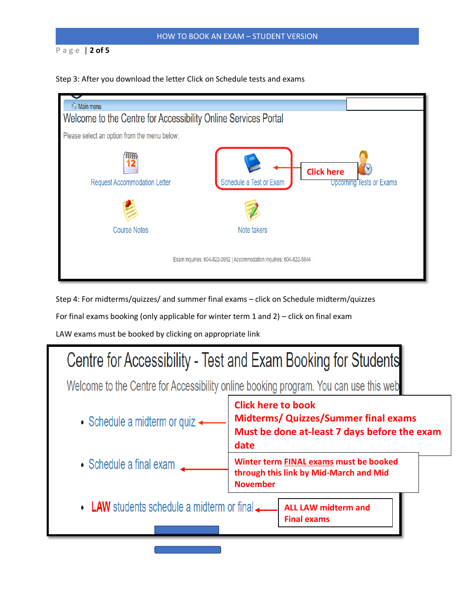## HOW TO BOOK AN EXAM – STUDENT VERSION

## P a g e | **2 of 5**





Step 4: For midterms/quizzes/ and summer final exams – click on Schedule midterm/quizzes

For final exams booking (only applicable for winter term 1 and 2) – click on final exam

LAW exams must be booked by clicking on appropriate link



**Final exams**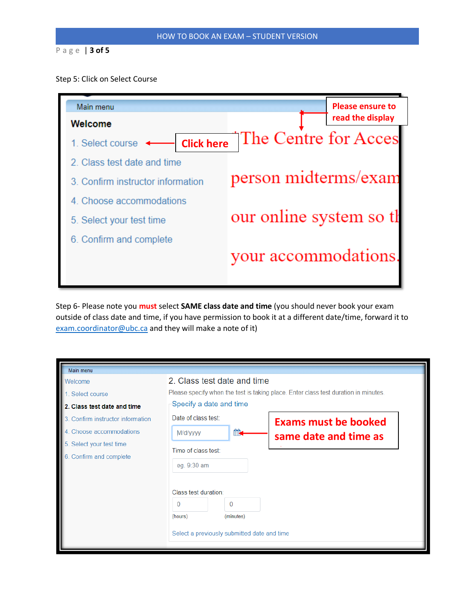### P a g e | **3 of 5**

#### Step 5: Click on Select Course



Step 6- Please note you **must** select **SAME class date and time** (you should never book your exam outside of class date and time, if you have permission to book it at a different date/time, forward it to [exam.coordinator@ubc.ca](mailto:exam.coordinator@ubc.ca) and they will make a note of it)

| Main menu                                        |                                                                                      |  |  |  |  |
|--------------------------------------------------|--------------------------------------------------------------------------------------|--|--|--|--|
| Welcome                                          | 2. Class test date and time                                                          |  |  |  |  |
| Select course                                    | Please specify when the test is taking place. Enter class test duration in minutes.  |  |  |  |  |
| 2. Class test date and time                      | Specify a date and time                                                              |  |  |  |  |
| Confirm instructor information                   | Date of class test:<br><b>Exams must be booked</b>                                   |  |  |  |  |
| Choose accommodations                            | M/d/yyyy<br>same date and time as                                                    |  |  |  |  |
| Select your test time<br>6. Confirm and complete | Time of class test:<br>eg. 9:30 am<br>Class test duration:                           |  |  |  |  |
|                                                  | $\Omega$<br>0<br>(hours)<br>(minutes)<br>Select a previously submitted date and time |  |  |  |  |